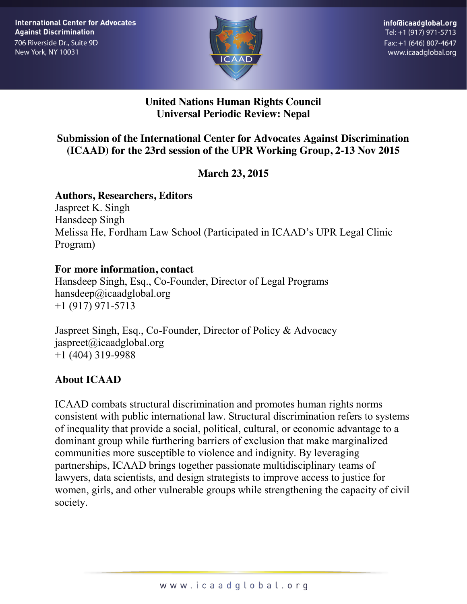

#### **United Nations Human Rights Council Universal Periodic Review: Nepal**

#### **Submission of the International Center for Advocates Against Discrimination (ICAAD) for the 23rd session of the UPR Working Group, 2-13 Nov 2015**

# **March 23, 2015**

#### **Authors, Researchers, Editors**

Jaspreet K. Singh Hansdeep Singh Melissa He, Fordham Law School (Participated in ICAAD's UPR Legal Clinic Program)

#### **For more information, contact**

Hansdeep Singh, Esq., Co-Founder, Director of Legal Programs hansdeep@icaadglobal.org +1 (917) 971-5713

Jaspreet Singh, Esq., Co-Founder, Director of Policy & Advocacy jaspreet@icaadglobal.org +1 (404) 319-9988

# **About ICAAD**

ICAAD combats structural discrimination and promotes human rights norms consistent with public international law. Structural discrimination refers to systems of inequality that provide a social, political, cultural, or economic advantage to a dominant group while furthering barriers of exclusion that make marginalized communities more susceptible to violence and indignity. By leveraging partnerships, ICAAD brings together passionate multidisciplinary teams of lawyers, data scientists, and design strategists to improve access to justice for women, girls, and other vulnerable groups while strengthening the capacity of civil society.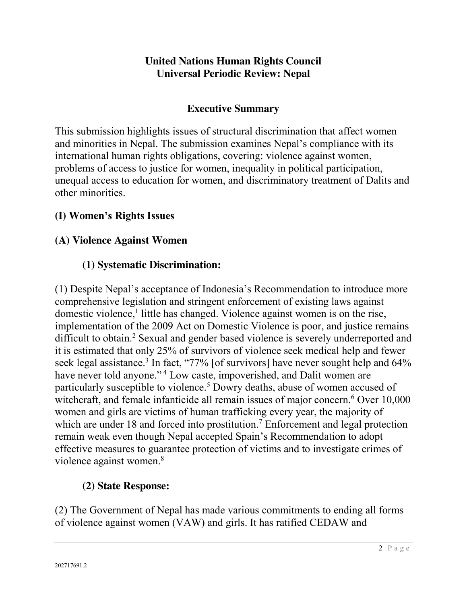#### **United Nations Human Rights Council Universal Periodic Review: Nepal**

### **Executive Summary**

This submission highlights issues of structural discrimination that affect women and minorities in Nepal. The submission examines Nepal's compliance with its international human rights obligations, covering: violence against women, problems of access to justice for women, inequality in political participation, unequal access to education for women, and discriminatory treatment of Dalits and other minorities.

# **(I) Women's Rights Issues**

# **(A) Violence Against Women**

# **(1) Systematic Discrimination:**

(1) Despite Nepal's acceptance of Indonesia's Recommendation to introduce more comprehensive legislation and stringent enforcement of existing laws against domestic violence,<sup>1</sup> little has changed. Violence against women is on the rise, implementation of the 2009 Act on Domestic Violence is poor, and justice remains difficult to obtain.2 Sexual and gender based violence is severely underreported and it is estimated that only 25% of survivors of violence seek medical help and fewer seek legal assistance.<sup>3</sup> In fact, "77% [of survivors] have never sought help and  $64\%$ have never told anyone."<sup>4</sup> Low caste, impoverished, and Dalit women are particularly susceptible to violence.5 Dowry deaths, abuse of women accused of witchcraft, and female infanticide all remain issues of major concern.<sup>6</sup> Over 10,000 women and girls are victims of human trafficking every year, the majority of which are under 18 and forced into prostitution.<sup>7</sup> Enforcement and legal protection remain weak even though Nepal accepted Spain's Recommendation to adopt effective measures to guarantee protection of victims and to investigate crimes of violence against women.<sup>8</sup>

# **(2) State Response:**

(2) The Government of Nepal has made various commitments to ending all forms of violence against women (VAW) and girls. It has ratified CEDAW and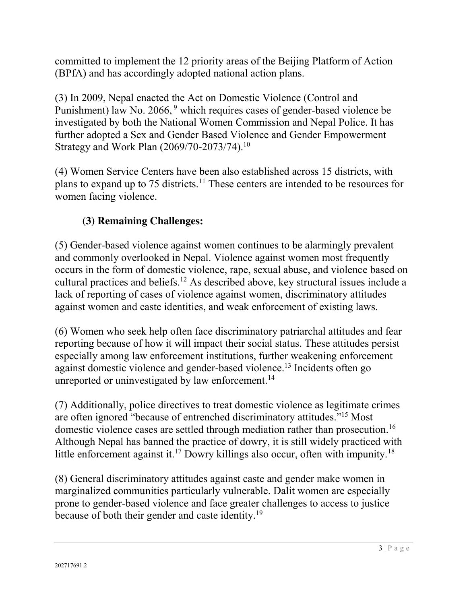committed to implement the 12 priority areas of the Beijing Platform of Action (BPfA) and has accordingly adopted national action plans.

(3) In 2009, Nepal enacted the Act on Domestic Violence (Control and Punishment) law No. 2066, <sup>9</sup> which requires cases of gender-based violence be investigated by both the National Women Commission and Nepal Police. It has further adopted a Sex and Gender Based Violence and Gender Empowerment Strategy and Work Plan (2069/70-2073/74).10

(4) Women Service Centers have been also established across 15 districts, with plans to expand up to 75 districts.11 These centers are intended to be resources for women facing violence.

# **(3) Remaining Challenges:**

(5) Gender-based violence against women continues to be alarmingly prevalent and commonly overlooked in Nepal. Violence against women most frequently occurs in the form of domestic violence, rape, sexual abuse, and violence based on cultural practices and beliefs.12 As described above, key structural issues include a lack of reporting of cases of violence against women, discriminatory attitudes against women and caste identities, and weak enforcement of existing laws.

(6) Women who seek help often face discriminatory patriarchal attitudes and fear reporting because of how it will impact their social status. These attitudes persist especially among law enforcement institutions, further weakening enforcement against domestic violence and gender-based violence.13 Incidents often go unreported or uninvestigated by law enforcement.<sup>14</sup>

(7) Additionally, police directives to treat domestic violence as legitimate crimes are often ignored "because of entrenched discriminatory attitudes."<sup>15</sup> Most domestic violence cases are settled through mediation rather than prosecution.16 Although Nepal has banned the practice of dowry, it is still widely practiced with little enforcement against it.<sup>17</sup> Dowry killings also occur, often with impunity.<sup>18</sup>

(8) General discriminatory attitudes against caste and gender make women in marginalized communities particularly vulnerable. Dalit women are especially prone to gender-based violence and face greater challenges to access to justice because of both their gender and caste identity.<sup>19</sup>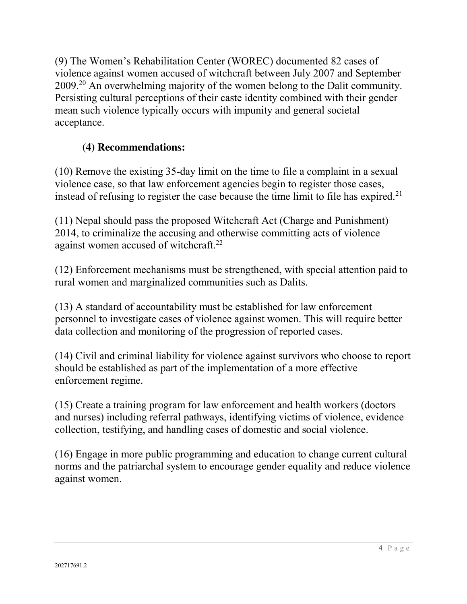(9) The Women's Rehabilitation Center (WOREC) documented 82 cases of violence against women accused of witchcraft between July 2007 and September 2009.20 An overwhelming majority of the women belong to the Dalit community. Persisting cultural perceptions of their caste identity combined with their gender mean such violence typically occurs with impunity and general societal acceptance.

# **(4) Recommendations:**

(10) Remove the existing 35-day limit on the time to file a complaint in a sexual violence case, so that law enforcement agencies begin to register those cases, instead of refusing to register the case because the time limit to file has expired.<sup>21</sup>

(11) Nepal should pass the proposed Witchcraft Act (Charge and Punishment) 2014, to criminalize the accusing and otherwise committing acts of violence against women accused of witchcraft.<sup>22</sup>

(12) Enforcement mechanisms must be strengthened, with special attention paid to rural women and marginalized communities such as Dalits.

(13) A standard of accountability must be established for law enforcement personnel to investigate cases of violence against women. This will require better data collection and monitoring of the progression of reported cases.

(14) Civil and criminal liability for violence against survivors who choose to report should be established as part of the implementation of a more effective enforcement regime.

(15) Create a training program for law enforcement and health workers (doctors and nurses) including referral pathways, identifying victims of violence, evidence collection, testifying, and handling cases of domestic and social violence.

(16) Engage in more public programming and education to change current cultural norms and the patriarchal system to encourage gender equality and reduce violence against women.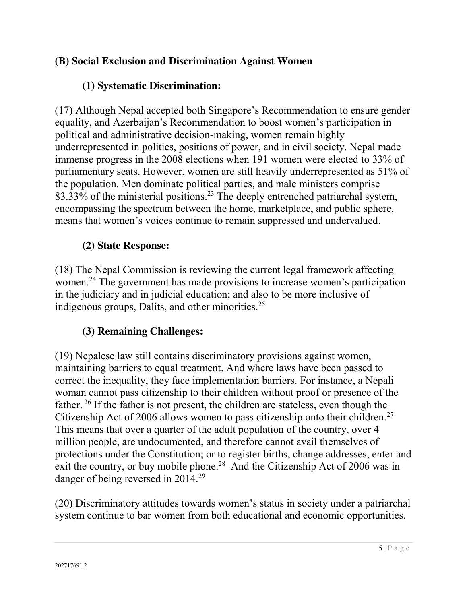#### **(B) Social Exclusion and Discrimination Against Women**

#### **(1) Systematic Discrimination:**

(17) Although Nepal accepted both Singapore's Recommendation to ensure gender equality, and Azerbaijan's Recommendation to boost women's participation in political and administrative decision-making, women remain highly underrepresented in politics, positions of power, and in civil society. Nepal made immense progress in the 2008 elections when 191 women were elected to 33% of parliamentary seats. However, women are still heavily underrepresented as 51% of the population. Men dominate political parties, and male ministers comprise 83.33% of the ministerial positions.<sup>23</sup> The deeply entrenched patriarchal system, encompassing the spectrum between the home, marketplace, and public sphere, means that women's voices continue to remain suppressed and undervalued.

#### **(2) State Response:**

(18) The Nepal Commission is reviewing the current legal framework affecting women.<sup>24</sup> The government has made provisions to increase women's participation in the judiciary and in judicial education; and also to be more inclusive of indigenous groups, Dalits, and other minorities.<sup>25</sup>

#### **(3) Remaining Challenges:**

(19) Nepalese law still contains discriminatory provisions against women, maintaining barriers to equal treatment. And where laws have been passed to correct the inequality, they face implementation barriers. For instance, a Nepali woman cannot pass citizenship to their children without proof or presence of the father. <sup>26</sup> If the father is not present, the children are stateless, even though the Citizenship Act of 2006 allows women to pass citizenship onto their children.<sup>27</sup> This means that over a quarter of the adult population of the country, over 4 million people, are undocumented, and therefore cannot avail themselves of protections under the Constitution; or to register births, change addresses, enter and exit the country, or buy mobile phone.<sup>28</sup> And the Citizenship Act of 2006 was in danger of being reversed in 2014.29

(20) Discriminatory attitudes towards women's status in society under a patriarchal system continue to bar women from both educational and economic opportunities.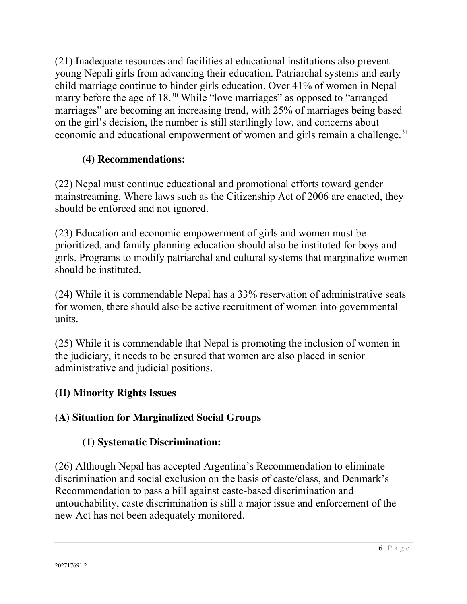(21) Inadequate resources and facilities at educational institutions also prevent young Nepali girls from advancing their education. Patriarchal systems and early child marriage continue to hinder girls education. Over 41% of women in Nepal marry before the age of 18.<sup>30</sup> While "love marriages" as opposed to "arranged" marriages" are becoming an increasing trend, with 25% of marriages being based on the girl's decision, the number is still startlingly low, and concerns about economic and educational empowerment of women and girls remain a challenge.<sup>31</sup>

# **(4) Recommendations:**

(22) Nepal must continue educational and promotional efforts toward gender mainstreaming. Where laws such as the Citizenship Act of 2006 are enacted, they should be enforced and not ignored.

(23) Education and economic empowerment of girls and women must be prioritized, and family planning education should also be instituted for boys and girls. Programs to modify patriarchal and cultural systems that marginalize women should be instituted.

(24) While it is commendable Nepal has a 33% reservation of administrative seats for women, there should also be active recruitment of women into governmental units.

(25) While it is commendable that Nepal is promoting the inclusion of women in the judiciary, it needs to be ensured that women are also placed in senior administrative and judicial positions.

# **(II) Minority Rights Issues**

# **(A) Situation for Marginalized Social Groups**

# **(1) Systematic Discrimination:**

(26) Although Nepal has accepted Argentina's Recommendation to eliminate discrimination and social exclusion on the basis of caste/class, and Denmark's Recommendation to pass a bill against caste-based discrimination and untouchability, caste discrimination is still a major issue and enforcement of the new Act has not been adequately monitored.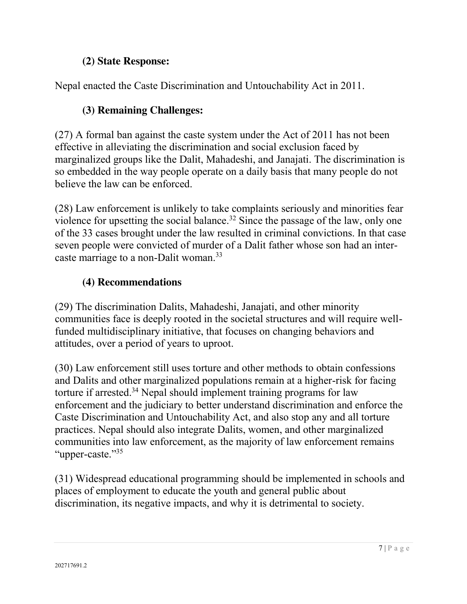#### **(2) State Response:**

Nepal enacted the Caste Discrimination and Untouchability Act in 2011.

### **(3) Remaining Challenges:**

(27) A formal ban against the caste system under the Act of 2011 has not been effective in alleviating the discrimination and social exclusion faced by marginalized groups like the Dalit, Mahadeshi, and Janajati. The discrimination is so embedded in the way people operate on a daily basis that many people do not believe the law can be enforced.

(28) Law enforcement is unlikely to take complaints seriously and minorities fear violence for upsetting the social balance.<sup>32</sup> Since the passage of the law, only one of the 33 cases brought under the law resulted in criminal convictions. In that case seven people were convicted of murder of a Dalit father whose son had an intercaste marriage to a non-Dalit woman.<sup>33</sup>

#### **(4) Recommendations**

(29) The discrimination Dalits, Mahadeshi, Janajati, and other minority communities face is deeply rooted in the societal structures and will require wellfunded multidisciplinary initiative, that focuses on changing behaviors and attitudes, over a period of years to uproot.

(30) Law enforcement still uses torture and other methods to obtain confessions and Dalits and other marginalized populations remain at a higher-risk for facing torture if arrested.<sup>34</sup> Nepal should implement training programs for law enforcement and the judiciary to better understand discrimination and enforce the Caste Discrimination and Untouchability Act, and also stop any and all torture practices. Nepal should also integrate Dalits, women, and other marginalized communities into law enforcement, as the majority of law enforcement remains "upper-caste."<sup>35</sup>

(31) Widespread educational programming should be implemented in schools and places of employment to educate the youth and general public about discrimination, its negative impacts, and why it is detrimental to society.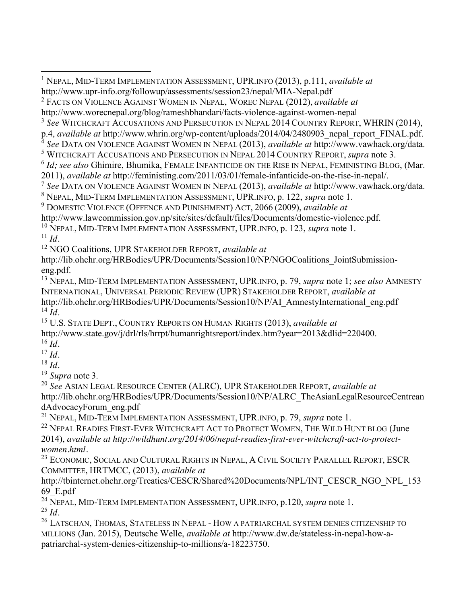1 NEPAL, MID-TERM IMPLEMENTATION ASSESSMENT, UPR.INFO (2013), p.111, *available at*  http://www.upr-info.org/followup/assessments/session23/nepal/MIA-Nepal.pdf <sup>2</sup> FACTS ON VIOLENCE AGAINST WOMEN IN NEPAL, WOREC NEPAL (2012), *available at* http://www.worecnepal.org/blog/rameshbhandari/facts-violence-against-women-nepal <sup>3</sup> *See* WITCHCRAFT ACCUSATIONS AND PERSECUTION IN NEPAL 2014 COUNTRY REPORT, WHRIN (2014), p.4, available at http://www.whrin.org/wp-content/uploads/2014/04/2480903\_nepal\_report\_FINAL.pdf.<br><sup>4</sup> See DATA ON VIOLENCE AGAINST WOMEN IN NEPAL (2013), available at http://www.vawhack.org/data.<br><sup>5</sup> WITCHCRAFT ACCUSATIONS <sup>6</sup> *Id; see also* Ghimire, Bhumika, FEMALE INFANTICIDE ON THE RISE IN NEPAL, FEMINISTING BLOG, (Mar. 2011), *available at http://feministing.com/2011/03/01/female-infanticide-on-the-rise-in-nepal/.*<br><sup>7</sup> See DATA ON VIOLENCE AGAINST WOMEN IN NEPAL (2013), *available at http://www.vawhack.org/data.*<br><sup>8</sup> NEPAL, MID-TERM IMPL <sup>9</sup> DOMESTIC VIOLENCE (OFFENCE AND PUNISHMENT) ACT, 2066 (2009), *available at*  http://www.lawcommission.gov.np/site/sites/default/files/Documents/domestic-violence.pdf. <sup>10</sup> NEPAL, MID-TERM IMPLEMENTATION ASSESSMENT, UPR.INFO, p. 123, *supra* note 1.  $11$  *Id.* <sup>12</sup> NGO Coalitions, UPR STAKEHOLDER REPORT, *available at* http://lib.ohchr.org/HRBodies/UPR/Documents/Session10/NP/NGOCoalitions\_JointSubmissioneng.pdf. <sup>13</sup> NEPAL, MID-TERM IMPLEMENTATION ASSESSMENT, UPR.INFO, p. 79, *supra* note 1; *see also* AMNESTY INTERNATIONAL, UNIVERSAL PERIODIC REVIEW (UPR) STAKEHOLDER REPORT, *available at* http://lib.ohchr.org/HRBodies/UPR/Documents/Session10/NP/AI\_AmnestyInternational\_eng.pdf  $^{14}$  *Id.* <sup>15</sup> U.S. STATE DEPT., COUNTRY REPORTS ON HUMAN RIGHTS (2013), *available at* http://www.state.gov/j/drl/rls/hrrpt/humanrightsreport/index.htm?year=2013&dlid=220400. <sup>16</sup> *Id.*  $^{17}$  *Id.* <sup>18</sup> *Id.* <sup>19</sup> *Supra* note 3. <sup>20</sup> *See* ASIAN LEGAL RESOURCE CENTER (ALRC), UPR STAKEHOLDER REPORT, *available at* http://lib.ohchr.org/HRBodies/UPR/Documents/Session10/NP/ALRC\_TheAsianLegalResourceCentrean dAdvocacyForum\_eng.pdf <sup>21</sup> NEPAL, MID-TERM IMPLEMENTATION ASSESSMENT, UPR.INFO, p. 79, *supra* note 1. <sup>22</sup> NEPAL READIES FIRST-EVER WITCHCRAFT ACT TO PROTECT WOMEN, THE WILD HUNT BLOG (June 2014), *available at http://wildhunt.org/2014/06/nepal-readies-first-ever-witchcraft-act-to-protect*women.html.<br><sup>23</sup> ECONOMIC, SOCIAL AND CULTURAL RIGHTS IN NEPAL, A CIVIL SOCIETY PARALLEL REPORT, ESCR COMMITTEE, HRTMCC, (2013), *available at* 

http://tbinternet.ohchr.org/Treaties/CESCR/Shared%20Documents/NPL/INT\_CESCR\_NGO\_NPL\_153 69\_E.pdf

<sup>24</sup> NEPAL, MID-TERM IMPLEMENTATION ASSESSMENT, UPR.INFO, p.120, *supra* note 1. <sup>25</sup> *Id.*

<sup>26</sup> LATSCHAN, THOMAS, STATELESS IN NEPAL - HOW A PATRIARCHAL SYSTEM DENIES CITIZENSHIP TO MILLIONS (Jan. 2015), Deutsche Welle, *available at* http://www.dw.de/stateless-in-nepal-how-apatriarchal-system-denies-citizenship-to-millions/a-18223750.